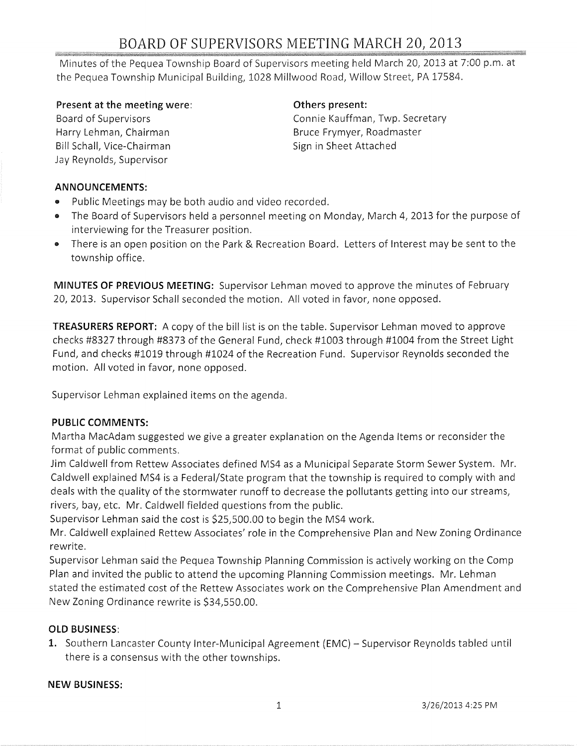# BOARD OF SUPERVISORS MEETING MARCH 20, 2013

Minutes of the Pequea Township Board of Supervisors meeting held March 20, 2013 at 7:00 p.m. at the Pequea Township Municipal Building, 1028 Millwood Road, Willow Street, PA 17584.

**Present at the meeting were:** 

Board of Supervisors Harry Lehman, Chairman Bill Schall, Vice-Chairman Jay Reynolds, Supervisor

#### **Others present:**

Connie Kauffman, Twp. Secretary Bruce Frymyer, Roadmaster Sign in Sheet Attached

#### **ANNOUNCEMENTS:**

- .. Public Meetings may be both audio and video recorded.
- The Board of Supervisors held a personnel meeting on Monday, March 4, 2013 for the purpose of interviewing for the Treasurer position.
- There is an open position on the Park & Recreation Board. Letters of Interest may be sent to the township office.

**MINUTES OF PREVIOUS MEETING:** Supervisor Lehman moved to approve the minutes of February 20, 2013. Supervisor Schall seconded the motion. All voted in favor, none opposed.

**TREASURERS REPORT:** A copy of the bill list is on the table. Supervisor Lehman moved to approve checks #8327 through #8373 of the General Fund, check #1003 through #1004 from the Street Light Fund, and checks #1019 through #1024 of the Recreation Fund. Supervisor Reynolds seconded the motion. All voted in favor, none opposed.

Supervisor Lehman explained items on the agenda.

#### **PUBLIC COMMENTS:**

Martha MacAdam suggested we give a greater explanation on the Agenda Items or reconsider the format of public comments.

Jim Caldwell from Rettew Associates defined MS4 as a Municipal Separate Storm Sewer System. Mr. Caldwell explained MS4 is a Federal/State program that the township is required to comply with and deals with the quality of the stormwater runoff to decrease the pollutants getting into our streams, rivers, bay, etc. Mr. Caldwell fielded questions from the public.

Supervisor Lehman said the cost is \$25,500.00 to begin the MS4 work.

Mr. Caldwell explained Rettew Associates' role in the Comprehensive Plan and New Zoning Ordinance rewrite.

Supervisor Lehman said the Pequea Township Planning Commission is actively working on the Comp Plan and invited the public to attend the upcoming Planning Commission meetings. Mr. Lehman stated the estimated cost of the Rettew Associates work on the Comprehensive Plan Amendment and New Zoning Ordinance rewrite is \$34,550.00.

### **OLD BUSINESS:**

1. Southern Lancaster County Inter-Municipal Agreement (EMC) - Supervisor Reynolds tabled until there is a consensus with the other townships.

#### **NEW BUSINESS:**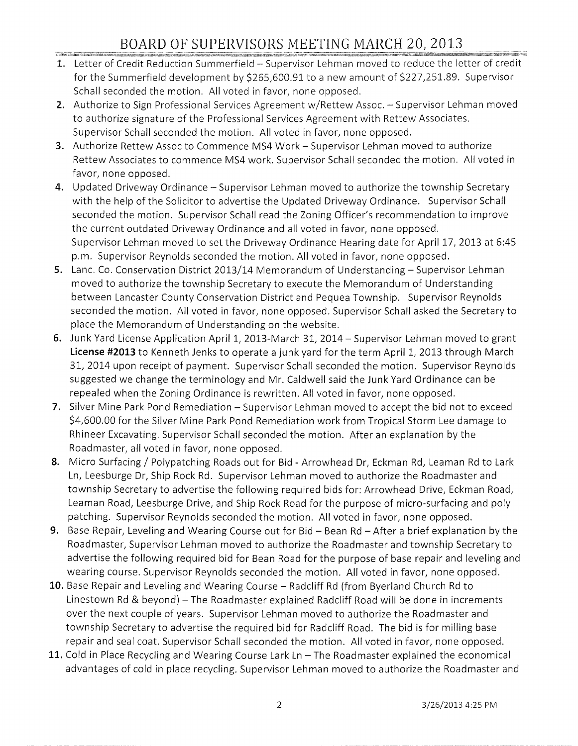## BOARD OF SUPERVISORS MEETING MARCH 20, 2013

- 1. Letter of Credit Reduction Summerfield Supervisor Lehman moved to reduce the letter of credit for the Summerfield development by \$265,600.91 to a new amount of \$227,251.89. Supervisor Schall seconded the motion. All voted in favor, none opposed.
- 2. Authorize to Sign Professional Services Agreement w/Rettew Assoc. Supervisor Lehman moved to authorize signature of the Professional Services Agreement with Rettew Associates. Supervisor Schall seconded the motion. All voted in favor, none opposed.
- **3.** Authorize Rettew Assoc to Commence MS4 Work Supervisor Lehman moved to authorize Rettew Associates to commence MS4 work. Supervisor Schall seconded the motion. All voted in favor, none opposed.
- 4. Updated Driveway Ordinance Supervisor Lehman moved to authorize the township Secretary with the help of the Solicitor to advertise the Updated Driveway Ordinance. Supervisor Schall seconded the motion. Supervisor Schall read the Zoning Officer's recommendation to improve the current outdated Driveway Ordinance and all voted in favor, none opposed. Supervisor Lehman moved to set the Driveway Ordinance Hearing date for April 17, 2013 at 6:45 p.m. Supervisor Reynolds seconded the motion. All voted in favor, none opposed.
- **5.** Lanc. Co. Conservation District 2013/14 Memorandum of Understanding Supervisor Lehman moved to authorize the township Secretary to execute the Memorandum of Understanding between Lancaster County Conservation District and Pequea Township. Supervisor Reynolds seconded the motion. All voted in favor, none opposed. Supervisor Schall asked the Secretary to place the Memorandum of Understanding on the website.
- **6.** Junk Yard License Application April 1, 2013-March 31, 2014 Supervisor Lehman moved to grant **License #2013** to Kenneth Jenks to operate a junk yard for the term April 1, 2013 through March 31, 2014 upon receipt of payment. Supervisor Schall seconded the motion. Supervisor Reynolds suggested we change the terminology and Mr. Caldwell said the Junk Yard Ordinance can be repealed when the Zoning Ordinance is rewritten. All voted in favor, none opposed.
- 7. Silver Mine Park Pond Remediation Supervisor Lehman moved to accept the bid not to exceed \$4,600.00 for the Silver Mine Park Pond Remediation work from Tropical Storm Lee damage to Rhineer Excavating. Supervisor Schall seconded the motion. After an explanation by the Roadmaster, all voted in favor, none opposed.
- 8. Micro Surfacing / Polypatching Roads out for Bid Arrowhead Dr, Eckman Rd, Leaman Rd to Lark Ln, Leesburge Dr, Ship Rock Rd. Supervisor Lehman moved to authorize the Roadmaster and township Secretary to advertise the following required bids for: Arrowhead Drive, Eckman Road, Leaman Road, Leesburge Drive, and Ship Rock Road for the purpose of micro-surfacing and poly patching. Supervisor Reynolds seconded the motion. All voted in favor, none opposed.
- **9.** Base Repair, Leveling and Wearing Course out for Bid Bean Rd After a brief explanation by the Roadmaster, Supervisor Lehman moved to authorize the Roadmaster and township Secretary to advertise the following required bid for Bean Road for the purpose of base repair and leveling and wearing course. Supervisor Reynolds seconded the motion. All voted in favor, none opposed.
- **10.** Base Repair and Leveling and Wearing Course Radcliff Rd (from Byerland Church Rd to Linestown Rd & beyond) - The Roadmaster explained Radcliff Road will be done in increments over the next couple of years. Supervisor Lehman moved to authorize the Roadmaster and township Secretary to advertise the required bid for Radcliff Road. The bid is for milling base repair and seal coat. Supervisor Schall seconded the motion. All voted in favor, none opposed.
- 11. Cold in Place Recycling and Wearing Course Lark Ln The Roadmaster explained the economical advantages of cold in place recycling. Supervisor Lehman moved to authorize the Roadmaster and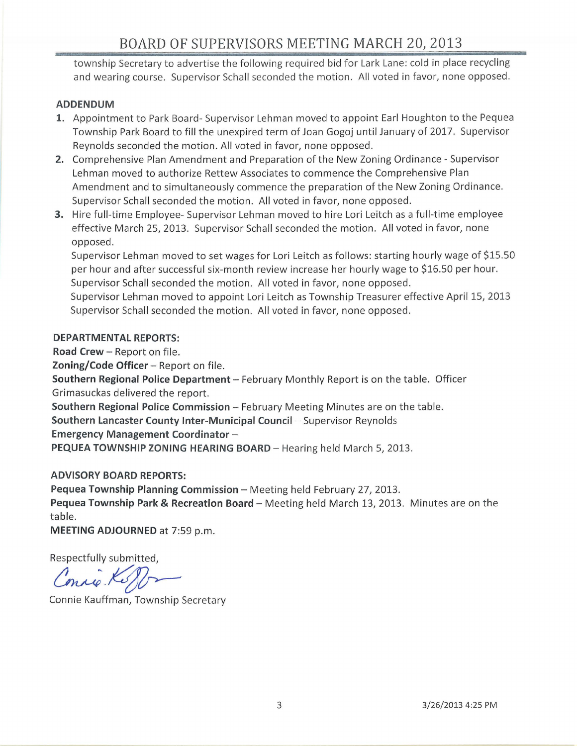township Secretary to advertise the following required bid for Lark Lane: cold in place recycling and wearing course. Supervisor Schall seconded the motion. All voted in favor, none opposed.

#### **ADDENDUM**

- **1.** Appointment to Park Board- Supervisor Lehman moved to appoint Earl Houghton to the Pequea Township Park Board to fill the unexpired term of Joan Gogoj until January of 2017. Supervisor Reynolds seconded the motion. All voted in favor, none opposed .
- **2.** Comprehensive Plan Amendment and Preparation of the New Zoning Ordinance Supervisor Lehman moved to authorize Rettew Associates to commence the Comprehensive Plan Amendment and to simultaneously commence the preparation of the New Zoning Ordinance. Supervisor Schall seconded the motion. All voted in favor, none opposed.
- **3.** Hire full-time Employee- Supervisor Lehman moved to hire Lori Leitch as a full-time employee effective March 25, 2013. Supervisor Schall seconded the motion. All voted in favor, none opposed.

Supervisor Lehman moved to set wages for Lori Leitch as follows: starting hourly wage of \$15.50 per hour and after successful six-month review increase her hourly wage to \$16.50 per hour. Supervisor Schall seconded the motion. All voted in favor, none opposed.

Supervisor Lehman moved to appoint Lori Leitch as Township Treasurer effective April 15, 2013 Supervisor Schall seconded the motion. All voted in favor, none opposed.

#### **DEPARTMENTAL REPORTS:**

**Road Crew - Report on file. Zoning/Code Officer** - Report on file. **Southern Regional Police Department** - February Monthly Report is on the table. Officer Grimasuckas delivered the report.

**Southern Regional Police Commission - February Meeting Minutes are on the table.** 

**Southern Lancaster County Inter-Municipal Council -** Supervisor Reynolds

**Emergency Management Coordinator** -

**PEQUEA TOWNSHIP ZONING HEARING BOARD - Hearing held March 5, 2013.** 

#### **ADVISORY BOARD REPORTS:**

**Pequea Township Planning Commission** - Meeting held February 27, 2013.

**Pequea Township Park & Recreation Board – Meeting held March 13, 2013. Minutes are on the** table.

**MEETING ADJOURNED** at 7:59 p.m.

Respectfully submitted,

MEETING ADJOOKNED at 7:59 p.m.<br>
Respectfully submitted,<br>
Connie Kauffman, Township Secretary Conrie